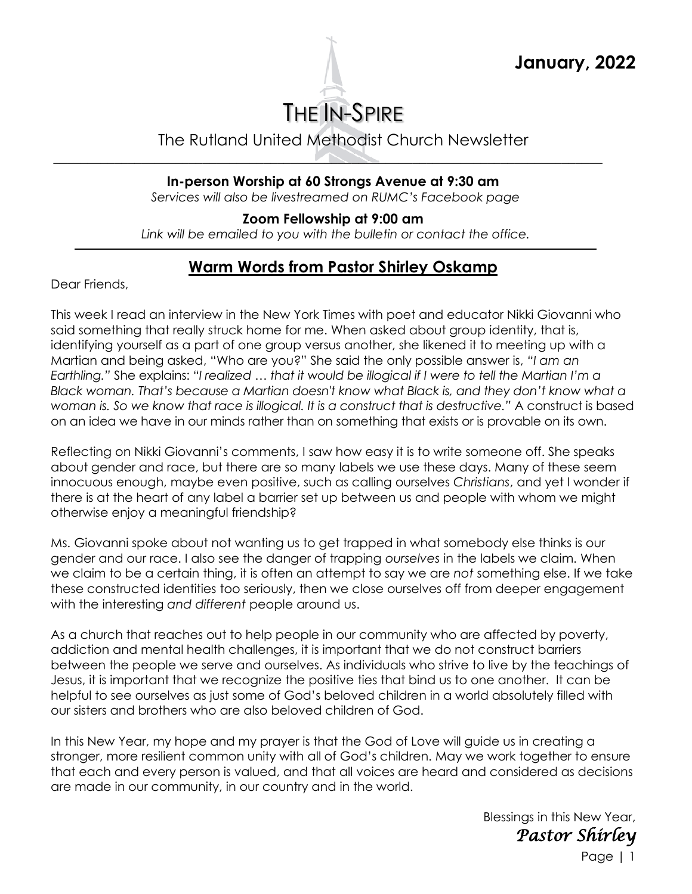

The Rutland United Methodist Church Newsletter

**In-person Worship at 60 Strongs Avenue at 9:30 am**

\_\_\_\_\_\_\_\_\_\_\_\_\_\_\_\_\_\_\_\_\_\_\_\_\_\_\_\_\_\_\_\_\_\_\_\_\_\_\_\_\_\_\_\_\_\_\_\_\_\_\_\_\_\_\_\_\_\_\_\_\_\_\_\_\_\_\_\_\_\_\_\_\_\_\_\_\_\_\_\_\_

*Services will also be livestreamed on RUMC's Facebook page*

**Zoom Fellowship at 9:00 am** 

*Link will be emailed to you with the bulletin or contact the office.*

## **Warm Words from Pastor Shirley Oskamp**

Dear Friends,

This week I read an interview in the New York Times with poet and educator Nikki Giovanni who said something that really struck home for me. When asked about group identity, that is, identifying yourself as a part of one group versus another, she likened it to meeting up with a Martian and being asked, "Who are you?" She said the only possible answer is, *"I am an Earthling."* She explains: *"I realized … that it would be illogical if I were to tell the Martian I'm a Black woman. That's because a Martian doesn't know what Black is, and they don't know what a woman is. So we know that race is illogical. It is a construct that is destructive."* A construct is based on an idea we have in our minds rather than on something that exists or is provable on its own.

Reflecting on Nikki Giovanni's comments, I saw how easy it is to write someone off. She speaks about gender and race, but there are so many labels we use these days. Many of these seem innocuous enough, maybe even positive, such as calling ourselves *Christians*, and yet I wonder if there is at the heart of any label a barrier set up between us and people with whom we might otherwise enjoy a meaningful friendship?

Ms. Giovanni spoke about not wanting us to get trapped in what somebody else thinks is our gender and our race. I also see the danger of trapping *ourselves* in the labels we claim. When we claim to be a certain thing, it is often an attempt to say we are *not* something else. If we take these constructed identities too seriously, then we close ourselves off from deeper engagement with the interesting *and different* people around us.

As a church that reaches out to help people in our community who are affected by poverty, addiction and mental health challenges, it is important that we do not construct barriers between the people we serve and ourselves. As individuals who strive to live by the teachings of Jesus, it is important that we recognize the positive ties that bind us to one another. It can be helpful to see ourselves as just some of God's beloved children in a world absolutely filled with our sisters and brothers who are also beloved children of God.

In this New Year, my hope and my prayer is that the God of Love will guide us in creating a stronger, more resilient common unity with all of God's children. May we work together to ensure that each and every person is valued, and that all voices are heard and considered as decisions are made in our community, in our country and in the world.

> Blessings in this New Year,  *Pastor Shirley*

> > Page | 1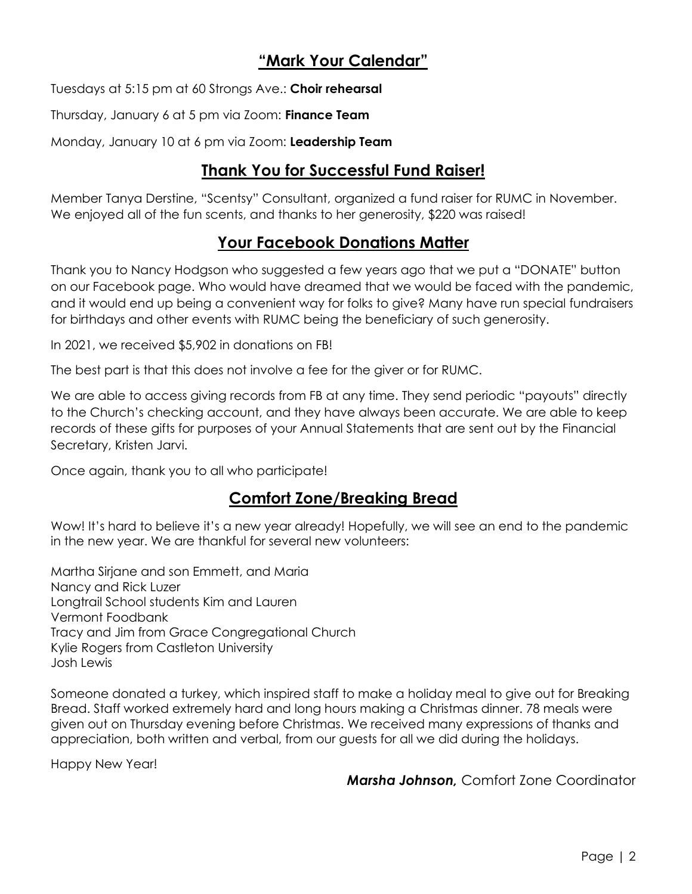#### **"Mark Your Calendar"**

Tuesdays at 5:15 pm at 60 Strongs Ave.: **Choir rehearsal**

Thursday, January 6 at 5 pm via Zoom: **Finance Team**

Monday, January 10 at 6 pm via Zoom: **Leadership Team**

#### **Thank You for Successful Fund Raiser!**

Member Tanya Derstine, "Scentsy" Consultant, organized a fund raiser for RUMC in November. We enjoyed all of the fun scents, and thanks to her generosity, \$220 was raised!

#### **Your Facebook Donations Matter**

Thank you to Nancy Hodgson who suggested a few years ago that we put a "DONATE" button on our Facebook page. Who would have dreamed that we would be faced with the pandemic, and it would end up being a convenient way for folks to give? Many have run special fundraisers for birthdays and other events with RUMC being the beneficiary of such generosity.

In 2021, we received \$5,902 in donations on FB!

The best part is that this does not involve a fee for the giver or for RUMC.

We are able to access giving records from FB at any time. They send periodic "payouts" directly to the Church's checking account, and they have always been accurate. We are able to keep records of these gifts for purposes of your Annual Statements that are sent out by the Financial Secretary, Kristen Jarvi.

Once again, thank you to all who participate!

#### **Comfort Zone/Breaking Bread**

Wow! It's hard to believe it's a new year already! Hopefully, we will see an end to the pandemic in the new year. We are thankful for several new volunteers:

Martha Sirjane and son Emmett, and Maria Nancy and Rick Luzer Longtrail School students Kim and Lauren Vermont Foodbank Tracy and Jim from Grace Congregational Church Kylie Rogers from Castleton University Josh Lewis

Someone donated a turkey, which inspired staff to make a holiday meal to give out for Breaking Bread. Staff worked extremely hard and long hours making a Christmas dinner. 78 meals were given out on Thursday evening before Christmas. We received many expressions of thanks and appreciation, both written and verbal, from our guests for all we did during the holidays.

Happy New Year!

*Marsha Johnson,* Comfort Zone Coordinator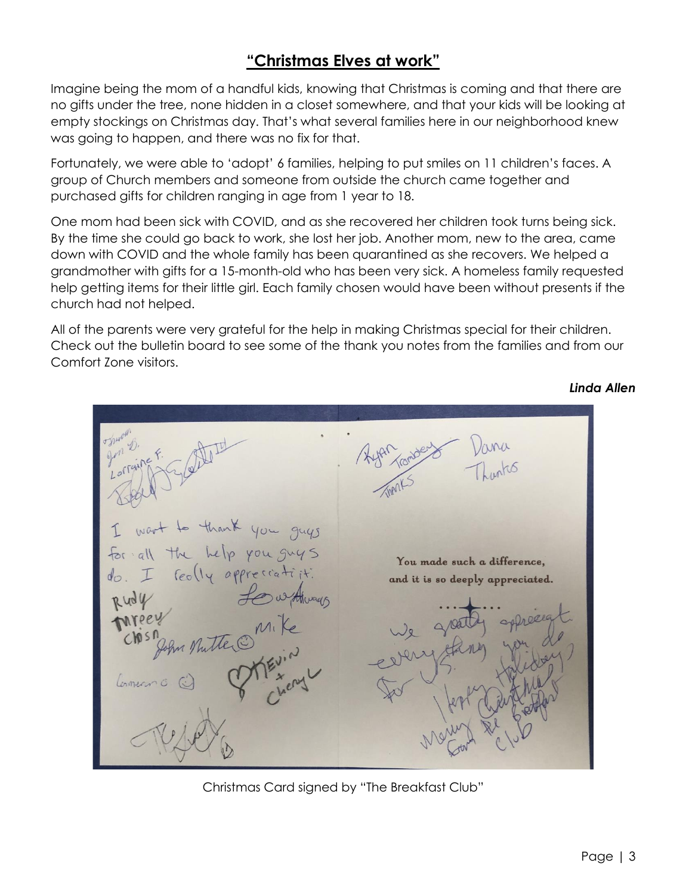## **"Christmas Elves at work"**

Imagine being the mom of a handful kids, knowing that Christmas is coming and that there are no gifts under the tree, none hidden in a closet somewhere, and that your kids will be looking at empty stockings on Christmas day. That's what several families here in our neighborhood knew was going to happen, and there was no fix for that.

Fortunately, we were able to 'adopt' 6 families, helping to put smiles on 11 children's faces. A group of Church members and someone from outside the church came together and purchased gifts for children ranging in age from 1 year to 18.

One mom had been sick with COVID, and as she recovered her children took turns being sick. By the time she could go back to work, she lost her job. Another mom, new to the area, came down with COVID and the whole family has been quarantined as she recovers. We helped a grandmother with gifts for a 15-month-old who has been very sick. A homeless family requested help getting items for their little girl. Each family chosen would have been without presents if the church had not helped.

All of the parents were very grateful for the help in making Christmas special for their children. Check out the bulletin board to see some of the thank you notes from the families and from our Comfort Zone visitors.

You made such a difference, feolly ap and it is so deeply appreciated.

*Linda Allen*

Christmas Card signed by "The Breakfast Club"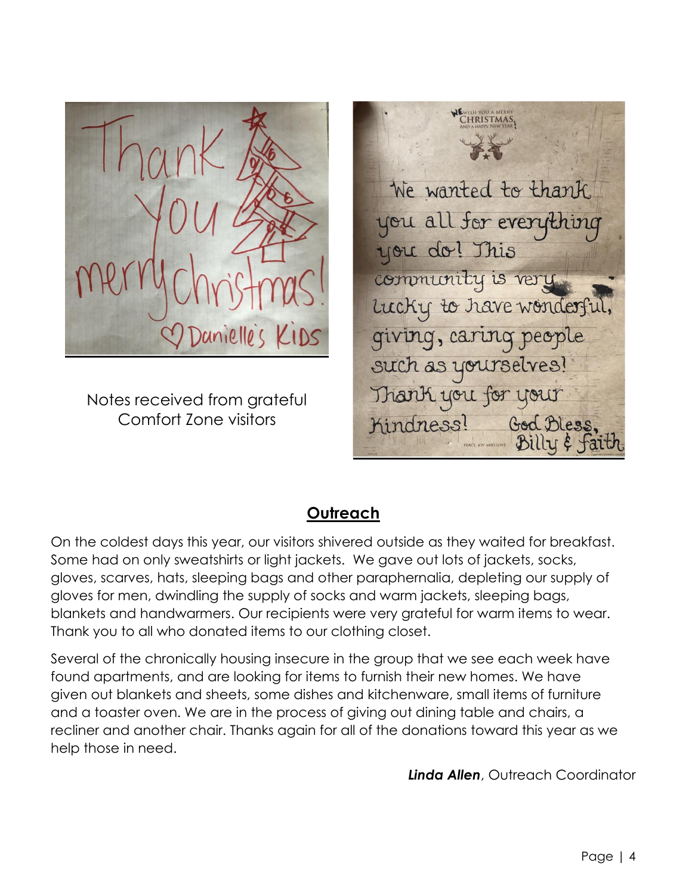

Notes received from grateful Comfort Zone visitors

We wanted to thank you all for everything you do! This community is very Lucky to have wonderful, giving, caring people such as yourselves! Thank you for your Kindness! God Bless,

#### **Outreach**

On the coldest days this year, our visitors shivered outside as they waited for breakfast. Some had on only sweatshirts or light jackets. We gave out lots of jackets, socks, gloves, scarves, hats, sleeping bags and other paraphernalia, depleting our supply of gloves for men, dwindling the supply of socks and warm jackets, sleeping bags, blankets and handwarmers. Our recipients were very grateful for warm items to wear. Thank you to all who donated items to our clothing closet.

Several of the chronically housing insecure in the group that we see each week have found apartments, and are looking for items to furnish their new homes. We have given out blankets and sheets, some dishes and kitchenware, small items of furniture and a toaster oven. We are in the process of giving out dining table and chairs, a recliner and another chair. Thanks again for all of the donations toward this year as we help those in need.

*Linda Allen*, Outreach Coordinator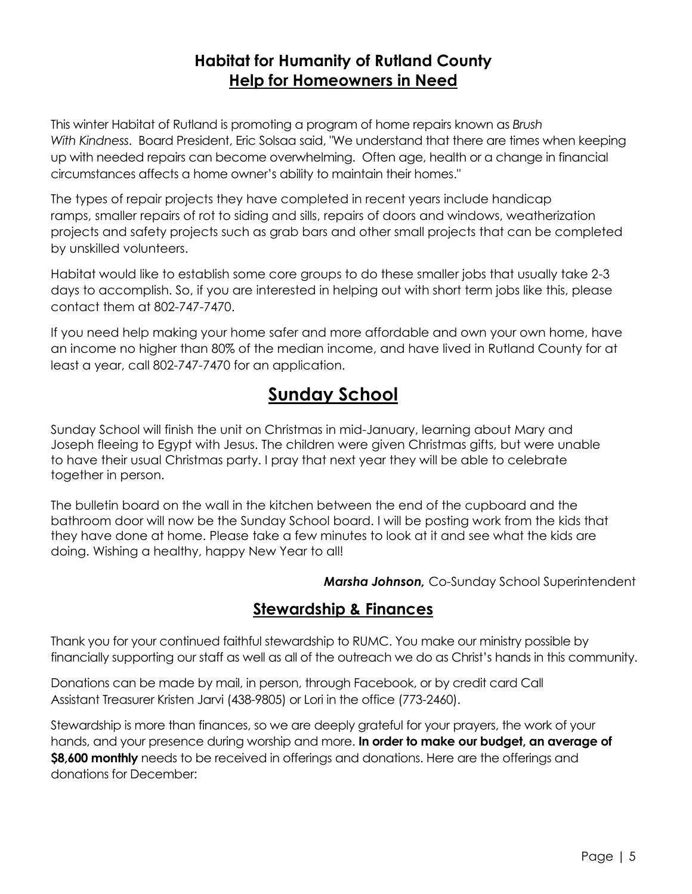### **Habitat for Humanity of Rutland County Help for Homeowners in Need**

This winter Habitat of Rutland is promoting a program of home repairs known as *Brush With Kindness*. Board President, Eric Solsaa said, "We understand that there are times when keeping up with needed repairs can become overwhelming. Often age, health or a change in financial circumstances affects a home owner's ability to maintain their homes."

The types of repair projects they have completed in recent years include handicap ramps, smaller repairs of rot to siding and sills, repairs of doors and windows, weatherization projects and safety projects such as grab bars and other small projects that can be completed by unskilled volunteers.

Habitat would like to establish some core groups to do these smaller jobs that usually take 2-3 days to accomplish. So, if you are interested in helping out with short term jobs like this, please contact them at 802-747-7470.

If you need help making your home safer and more affordable and own your own home, have an income no higher than 80% of the median income, and have lived in Rutland County for at least a year, call 802-747-7470 for an application.

# **Sunday School**

Sunday School will finish the unit on Christmas in mid-January, learning about Mary and Joseph fleeing to Egypt with Jesus. The children were given Christmas gifts, but were unable to have their usual Christmas party. I pray that next year they will be able to celebrate together in person.

The bulletin board on the wall in the kitchen between the end of the cupboard and the bathroom door will now be the Sunday School board. I will be posting work from the kids that they have done at home. Please take a few minutes to look at it and see what the kids are doing. Wishing a healthy, happy New Year to all!

*Marsha Johnson,* Co-Sunday School Superintendent

#### **Stewardship & Finances**

Thank you for your continued faithful stewardship to RUMC. You make our ministry possible by financially supporting our staff as well as all of the outreach we do as Christ's hands in this community.

Donations can be made by mail, in person, through Facebook, or by credit card Call Assistant Treasurer Kristen Jarvi (438-9805) or Lori in the office (773-2460).

Stewardship is more than finances, so we are deeply grateful for your prayers, the work of your hands, and your presence during worship and more. **In order to make our budget, an average of \$8,600 monthly** needs to be received in offerings and donations. Here are the offerings and donations for December: